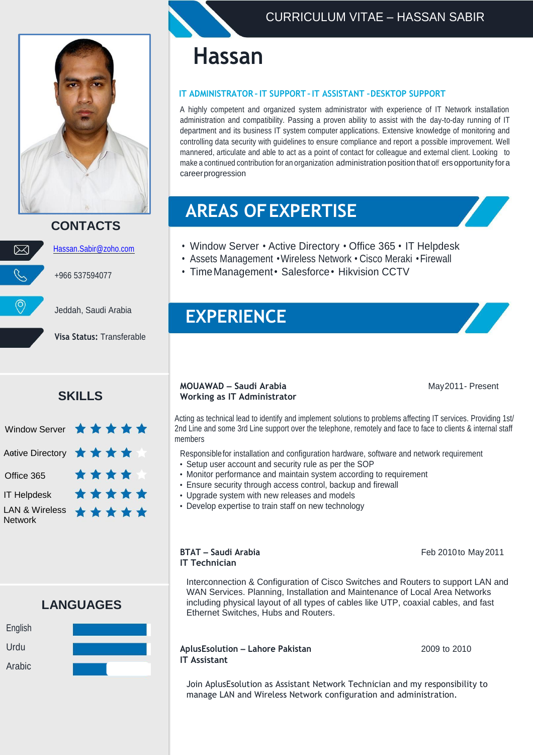

### **CONTACTS**



[Hassan.Sabir@zoho.com](mailto:Hassan.Sabir@zoho.com)

+966 537594077

Jeddah, Saudi Arabia

**Visa Status:** Transferable

### **SKILLS**



**LANGUAGES**



# **Hassan**

#### **IT ADMINISTRATOR –IT SUPPORT –IT ASSISTANT –DESKTOP SUPPORT**

A highly competent and organized system administrator with experience of IT Network installation administration and compatibility. Passing a proven ability to assist with the day-to-day running of IT department and its business IT system computer applications. Extensive knowledge of monitoring and controlling data security with guidelines to ensure compliance and report a possible improvement. Well mannered, articulate and able to act as a point of contact for colleague and external client. Looking to make a continued contribution for an organization administration position that off ers opportunity for a careerprogression

# **AREAS OFEXPERTISE**

- Window Server Active Directory Office 365 IT Helpdesk
- Assets Management •Wireless Network Cisco Meraki •Firewall
- Time Management Salesforce Hikvision CCTV

## **EXPERIENCE**

#### **MOUAWAD – Saudi Arabia** May2011- Present **Working as IT Administrator**

Acting as technical lead to identify and implement solutions to problems affecting IT services. Providing 1st/ 2nd Line and some 3rd Line support over the telephone, remotely and face to face to clients & internal staff members

- Responsiblefor installation and configuration hardware, software and network requirement
- Setup user account and security rule as per the SOP
- Monitor performance and maintain system according to requirement
- Ensure security through access control, backup and firewall
- Upgrade system with new releases and models
- Develop expertise to train staff on new technology

## **IT Technician**

**BTAT – Saudi Arabia** Feb 2010to May 2011

Interconnection & Configuration of Cisco Switches and Routers to support LAN and WAN Services. Planning, Installation and Maintenance of Local Area Networks including physical layout of all types of cables like UTP, coaxial cables, and fast Ethernet Switches, Hubs and Routers.

#### **AplusEsolution – Lahore Pakistan** 2009 to 2010 **IT Assistant**

Join AplusEsolution as Assistant Network Technician and my responsibility to manage LAN and Wireless Network configuration and administration.